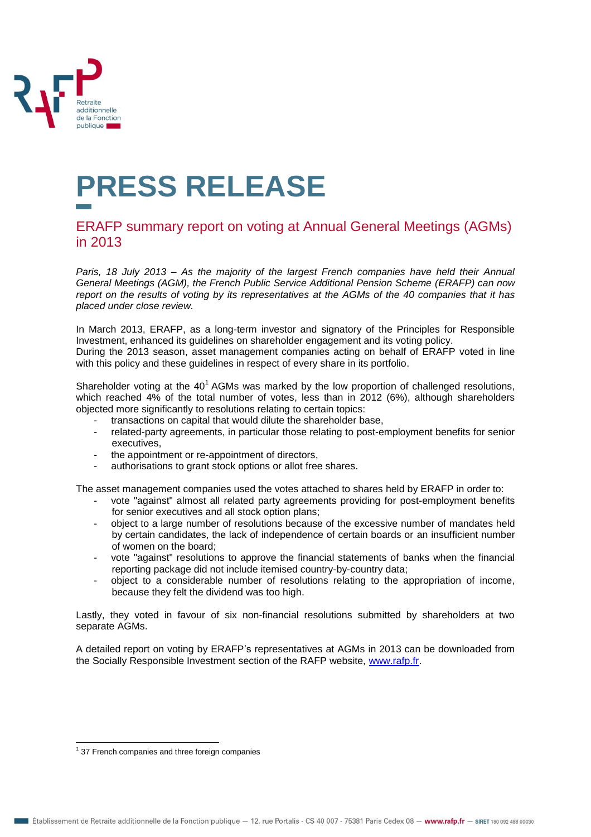

## **PRESS RELEASE**

## ERAFP summary report on voting at Annual General Meetings (AGMs) in 2013

*Paris, 18 July 2013 – As the majority of the largest French companies have held their Annual General Meetings (AGM), the French Public Service Additional Pension Scheme (ERAFP) can now report on the results of voting by its representatives at the AGMs of the 40 companies that it has placed under close review.*

In March 2013, ERAFP, as a long-term investor and signatory of the Principles for Responsible Investment, enhanced its guidelines on shareholder engagement and its voting policy. During the 2013 season, asset management companies acting on behalf of ERAFP voted in line with this policy and these guidelines in respect of every share in its portfolio.

Shareholder voting at the 40<sup>1</sup> AGMs was marked by the low proportion of challenged resolutions, which reached 4% of the total number of votes, less than in 2012 (6%), although shareholders objected more significantly to resolutions relating to certain topics:

- transactions on capital that would dilute the shareholder base,
- related-party agreements, in particular those relating to post-employment benefits for senior executives,
- the appointment or re-appointment of directors,
- authorisations to grant stock options or allot free shares.

The asset management companies used the votes attached to shares held by ERAFP in order to:

- vote "against" almost all related party agreements providing for post-employment benefits for senior executives and all stock option plans;
- object to a large number of resolutions because of the excessive number of mandates held by certain candidates, the lack of independence of certain boards or an insufficient number of women on the board;
- vote "against" resolutions to approve the financial statements of banks when the financial reporting package did not include itemised country-by-country data;
- object to a considerable number of resolutions relating to the appropriation of income, because they felt the dividend was too high.

Lastly, they voted in favour of six non-financial resolutions submitted by shareholders at two separate AGMs.

A detailed report on voting by ERAFP's representatives at AGMs in 2013 can be downloaded from the Socially Responsible Investment section of the RAFP website, [www.rafp.fr.](http://www.rafp.fr/)

 $\overline{a}$ 

 $<sup>1</sup>$  37 French companies and three foreign companies</sup>